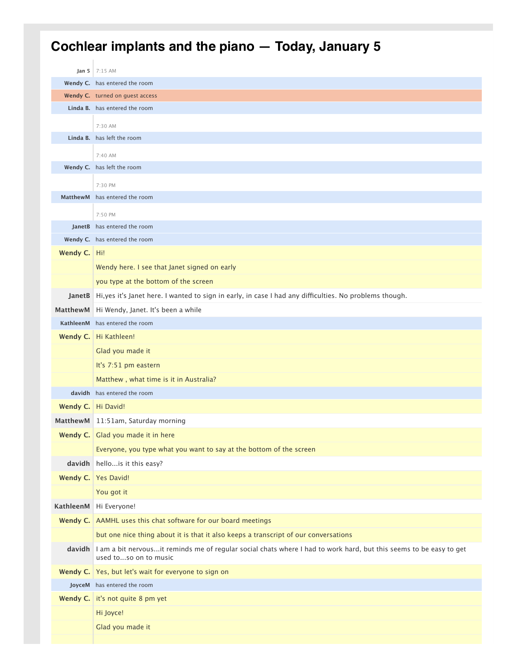## **Cochlear implants and the piano — Today, January 5**

|                      | Jan 5 7:15 AM                                                                                                                                      |
|----------------------|----------------------------------------------------------------------------------------------------------------------------------------------------|
|                      | Wendy C. has entered the room                                                                                                                      |
|                      | Wendy C. turned on guest access                                                                                                                    |
|                      | Linda B. has entered the room                                                                                                                      |
|                      | 7:30 AM                                                                                                                                            |
|                      | Linda B. has left the room                                                                                                                         |
|                      | 7:40 AM                                                                                                                                            |
|                      | Wendy C. has left the room                                                                                                                         |
|                      | 7:30 PM                                                                                                                                            |
| <b>MatthewM</b>      | has entered the room                                                                                                                               |
|                      | 7:50 PM                                                                                                                                            |
|                      | JanetB has entered the room                                                                                                                        |
|                      | Wendy C. has entered the room                                                                                                                      |
| Wendy C.   Hi!       |                                                                                                                                                    |
|                      | Wendy here. I see that Janet signed on early                                                                                                       |
|                      | you type at the bottom of the screen                                                                                                               |
|                      | JanetB Hi, yes it's Janet here. I wanted to sign in early, in case I had any difficulties. No problems though.                                     |
|                      | MatthewM   Hi Wendy, Janet. It's been a while                                                                                                      |
|                      | KathleenM has entered the room                                                                                                                     |
|                      | Wendy C.   Hi Kathleen!                                                                                                                            |
|                      | Glad you made it                                                                                                                                   |
|                      | It's 7:51 pm eastern                                                                                                                               |
|                      | Matthew, what time is it in Australia?                                                                                                             |
|                      | davidh has entered the room                                                                                                                        |
| Wendy C.   Hi David! |                                                                                                                                                    |
|                      | MatthewM 11:51am, Saturday morning                                                                                                                 |
|                      | Wendy C. Glad you made it in here                                                                                                                  |
|                      | Everyone, you type what you want to say at the bottom of the screen                                                                                |
|                      | davidh hello is it this easy?                                                                                                                      |
|                      | Wendy C. Yes David!                                                                                                                                |
|                      | You got it                                                                                                                                         |
| KathleenM            | Hi Everyone!                                                                                                                                       |
|                      | Wendy C. AAMHL uses this chat software for our board meetings                                                                                      |
|                      | but one nice thing about it is that it also keeps a transcript of our conversations                                                                |
|                      | davidh I am a bit nervousit reminds me of regular social chats where I had to work hard, but this seems to be easy to get<br>used toso on to music |
|                      | Wendy C.   Yes, but let's wait for everyone to sign on                                                                                             |
|                      | JoyceM has entered the room                                                                                                                        |
|                      | Wendy C. it's not quite 8 pm yet                                                                                                                   |
|                      | Hi Joyce!                                                                                                                                          |
|                      | Glad you made it                                                                                                                                   |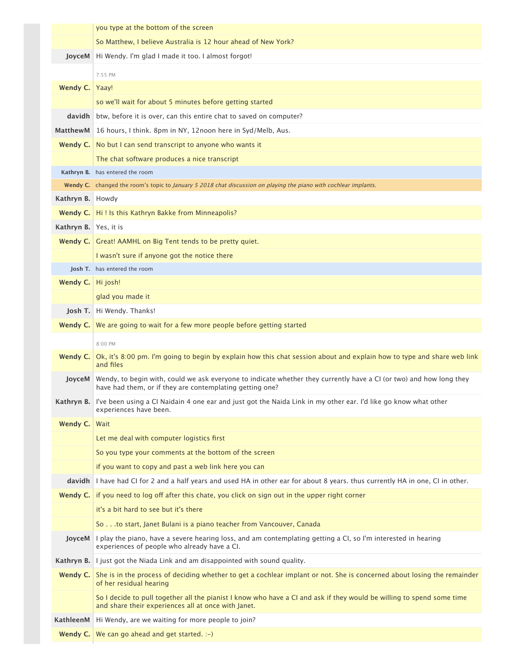|                       | you type at the bottom of the screen                                                                                                                                            |
|-----------------------|---------------------------------------------------------------------------------------------------------------------------------------------------------------------------------|
|                       | So Matthew, I believe Australia is 12 hour ahead of New York?                                                                                                                   |
| JoyceM                | Hi Wendy. I'm glad I made it too. I almost forgot!                                                                                                                              |
|                       | 7:55 PM                                                                                                                                                                         |
| Wendy C.              | Yaay!                                                                                                                                                                           |
|                       | so we'll wait for about 5 minutes before getting started                                                                                                                        |
| <b>davidh</b>         | btw, before it is over, can this entire chat to saved on computer?                                                                                                              |
| MatthewM              | 16 hours, I think. 8pm in NY, 12noon here in Syd/Melb, Aus.                                                                                                                     |
|                       | <b>Wendy C.</b> No but I can send transcript to anyone who wants it                                                                                                             |
|                       | The chat software produces a nice transcript                                                                                                                                    |
|                       | Kathryn B. has entered the room                                                                                                                                                 |
|                       | Wendy C. changed the room's topic to January 5 2018 chat discussion on playing the piano with cochlear implants.                                                                |
| Kathryn B. Howdy      |                                                                                                                                                                                 |
|                       | Wendy C.   Hi! Is this Kathryn Bakke from Minneapolis?                                                                                                                          |
| Kathryn B. Yes, it is |                                                                                                                                                                                 |
|                       | <b>Wendy C.</b> Great! AAMHL on Big Tent tends to be pretty quiet.                                                                                                              |
|                       | I wasn't sure if anyone got the notice there                                                                                                                                    |
|                       | <b>Josh T.</b> has entered the room                                                                                                                                             |
| Wendy C.   Hi josh!   |                                                                                                                                                                                 |
|                       | glad you made it                                                                                                                                                                |
|                       | Josh T. Hi Wendy. Thanks!                                                                                                                                                       |
|                       | <b>Wendy C.</b> We are going to wait for a few more people before getting started                                                                                               |
|                       | 8:00 PM                                                                                                                                                                         |
| Wendy C.              | Ok, it's 8:00 pm. I'm going to begin by explain how this chat session about and explain how to type and share web link<br>and files                                             |
| JoyceM                | Wendy, to begin with, could we ask everyone to indicate whether they currently have a CI (or two) and how long they<br>have had them, or if they are contemplating getting one? |
| Kathryn B.            | I've been using a CI Naidain 4 one ear and just got the Naida Link in my other ear. I'd like go know what other<br>experiences have been.                                       |
| Wendy C.              | Wait                                                                                                                                                                            |
|                       | Let me deal with computer logistics first                                                                                                                                       |
|                       | So you type your comments at the bottom of the screen                                                                                                                           |
|                       | if you want to copy and past a web link here you can                                                                                                                            |
| davidh                | I have had CI for 2 and a half years and used HA in other ear for about 8 years. thus currently HA in one, CI in other.                                                         |
| Wendy C.              | if you need to log off after this chate, you click on sign out in the upper right corner                                                                                        |
|                       | it's a bit hard to see but it's there                                                                                                                                           |
|                       | So to start, Janet Bulani is a piano teacher from Vancouver, Canada                                                                                                             |
| JoyceM                | I play the piano, have a severe hearing loss, and am contemplating getting a CI, so I'm interested in hearing<br>experiences of people who already have a CI.                   |
|                       | <b>Kathryn B.</b> I just got the Niada Link and am disappointed with sound quality.                                                                                             |
| Wendy C.              | She is in the process of deciding whether to get a cochlear implant or not. She is concerned about losing the remainder<br>of her residual hearing                              |
|                       | So I decide to pull together all the pianist I know who have a CI and ask if they would be willing to spend some time<br>and share their experiences all at once with Janet.    |
| KathleenM             | Hi Wendy, are we waiting for more people to join?                                                                                                                               |
|                       | <b>Wendy C.</b> We can go ahead and get started. $\div$                                                                                                                         |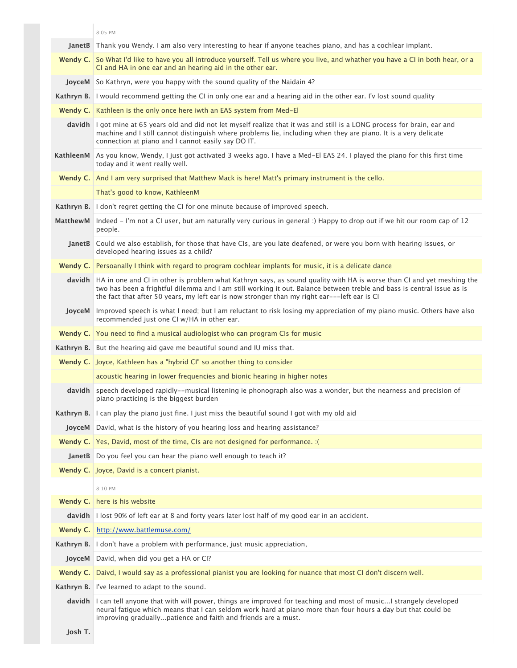|               | 8:05 PM                                                                                                                                                                                                                                                                                                                                                |
|---------------|--------------------------------------------------------------------------------------------------------------------------------------------------------------------------------------------------------------------------------------------------------------------------------------------------------------------------------------------------------|
|               | JanetB Thank you Wendy. I am also very interesting to hear if anyone teaches piano, and has a cochlear implant.                                                                                                                                                                                                                                        |
|               | Wendy C. So What I'd like to have you all introduce yourself. Tell us where you live, and whather you have a CI in both hear, or a<br>CI and HA in one ear and an hearing aid in the other ear.                                                                                                                                                        |
|               | <b>JoyceM</b> So Kathryn, were you happy with the sound quality of the Naidain 4?                                                                                                                                                                                                                                                                      |
|               | Kathryn B. I would recommend getting the CI in only one ear and a hearing aid in the other ear. I'v lost sound quality                                                                                                                                                                                                                                 |
|               | Wendy C.   Kathleen is the only once here iwth an EAS system from Med-El                                                                                                                                                                                                                                                                               |
|               | davidh I got mine at 65 years old and did not let myself realize that it was and still is a LONG process for brain, ear and<br>machine and I still cannot distinguish where problems lie, including when they are piano. It is a very delicate<br>connection at piano and I cannot easily say DO IT.                                                   |
|               | KathleenM As you know, Wendy, I just got activated 3 weeks ago. I have a Med-El EAS 24. I played the piano for this first time<br>today and it went really well.                                                                                                                                                                                       |
|               | Wendy C. And I am very surprised that Matthew Mack is here! Matt's primary instrument is the cello.                                                                                                                                                                                                                                                    |
|               | That's good to know, KathleenM                                                                                                                                                                                                                                                                                                                         |
|               | Kathryn B. I don't regret getting the CI for one minute because of improved speech.                                                                                                                                                                                                                                                                    |
| MatthewM      | Indeed - I'm not a CI user, but am naturally very curious in general :) Happy to drop out if we hit our room cap of 12<br>people.                                                                                                                                                                                                                      |
|               | JanetB Could we also establish, for those that have CIs, are you late deafened, or were you born with hearing issues, or<br>developed hearing issues as a child?                                                                                                                                                                                       |
|               | <b>Wendy C.</b> Persoanally I think with regard to program cochlear implants for music, it is a delicate dance                                                                                                                                                                                                                                         |
|               | davidh HA in one and CI in other is problem what Kathryn says, as sound quality with HA is worse than CI and yet meshing the<br>two has been a frightful dilemma and I am still working it out. Balance between treble and bass is central issue as is<br>the fact that after 50 years, my left ear is now stronger than my right ear---left ear is CI |
| <b>JoyceM</b> | Improved speech is what I need; but I am reluctant to risk losing my appreciation of my piano music. Others have also<br>recommended just one CI w/HA in other ear.                                                                                                                                                                                    |
|               | <b>Wendy C.</b> You need to find a musical audiologist who can program CIs for music                                                                                                                                                                                                                                                                   |
|               | <b>Kathryn B.</b> But the hearing aid gave me beautiful sound and IU miss that.                                                                                                                                                                                                                                                                        |
|               | Wendy C. Joyce, Kathleen has a "hybrid CI" so another thing to consider                                                                                                                                                                                                                                                                                |
|               | acoustic hearing in lower frequencies and bionic hearing in higher notes                                                                                                                                                                                                                                                                               |
|               | davidh speech developed rapidly--musical listening ie phonograph also was a wonder, but the nearness and precision of<br>piano practicing is the biggest burden                                                                                                                                                                                        |
| Kathryn B.    | I can play the piano just fine. I just miss the beautiful sound I got with my old aid                                                                                                                                                                                                                                                                  |
|               | <b>JoyceM</b> David, what is the history of you hearing loss and hearing assistance?                                                                                                                                                                                                                                                                   |
|               | <b>Wendy C.</b> Yes, David, most of the time, CIs are not designed for performance. : (                                                                                                                                                                                                                                                                |
|               | JanetB Do you feel you can hear the piano well enough to teach it?                                                                                                                                                                                                                                                                                     |
|               | Wendy C. Joyce, David is a concert pianist.                                                                                                                                                                                                                                                                                                            |
|               | 8:10 PM                                                                                                                                                                                                                                                                                                                                                |
| Wendy C.      | here is his website                                                                                                                                                                                                                                                                                                                                    |
|               | davidh I lost 90% of left ear at 8 and forty years later lost half of my good ear in an accident.                                                                                                                                                                                                                                                      |
| Wendy C.      | http://www.battlemuse.com/                                                                                                                                                                                                                                                                                                                             |
| Kathryn B.    | I don't have a problem with performance, just music appreciation,                                                                                                                                                                                                                                                                                      |
| <b>JoyceM</b> | David, when did you get a HA or CI?                                                                                                                                                                                                                                                                                                                    |
| Wendy C.      | Daivd, I would say as a professional pianist you are looking for nuance that most CI don't discern well.                                                                                                                                                                                                                                               |
|               | Kathryn B. I've learned to adapt to the sound.                                                                                                                                                                                                                                                                                                         |
|               | davidh I can tell anyone that with will power, things are improved for teaching and most of music I strangely developed<br>neural fatigue which means that I can seldom work hard at piano more than four hours a day but that could be<br>improving graduallypatience and faith and friends are a must.                                               |
|               |                                                                                                                                                                                                                                                                                                                                                        |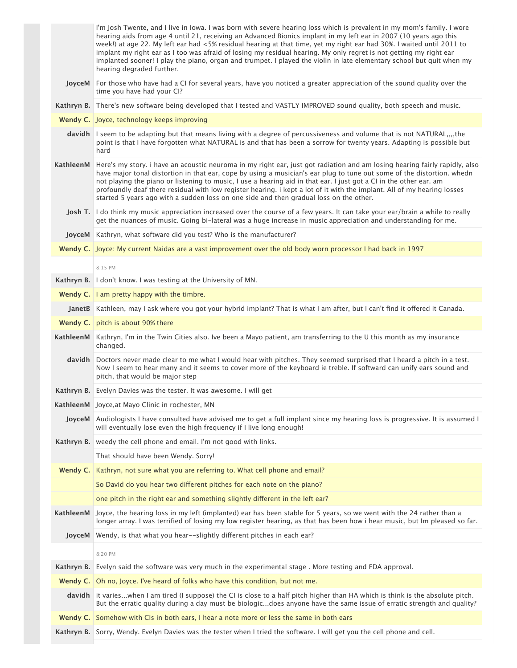|            | I'm Josh Twente, and I live in Iowa. I was born with severe hearing loss which is prevalent in my mom's family. I wore<br>hearing aids from age 4 until 21, receiving an Advanced Bionics implant in my left ear in 2007 (10 years ago this<br>week!) at age 22. My left ear had <5% residual hearing at that time, yet my right ear had 30%. I waited until 2011 to<br>implant my right ear as I too was afraid of losing my residual hearing. My only regret is not getting my right ear<br>implanted sooner! I play the piano, organ and trumpet. I played the violin in late elementary school but quit when my<br>hearing degraded further. |
|------------|--------------------------------------------------------------------------------------------------------------------------------------------------------------------------------------------------------------------------------------------------------------------------------------------------------------------------------------------------------------------------------------------------------------------------------------------------------------------------------------------------------------------------------------------------------------------------------------------------------------------------------------------------|
|            | JoyceM For those who have had a CI for several years, have you noticed a greater appreciation of the sound quality over the<br>time you have had your CI?                                                                                                                                                                                                                                                                                                                                                                                                                                                                                        |
|            | Kathryn B. There's new software being developed that I tested and VASTLY IMPROVED sound quality, both speech and music.                                                                                                                                                                                                                                                                                                                                                                                                                                                                                                                          |
|            | Wendy C. Joyce, technology keeps improving                                                                                                                                                                                                                                                                                                                                                                                                                                                                                                                                                                                                       |
|            | davidh I seem to be adapting but that means living with a degree of percussiveness and volume that is not NATURAL,,,,the<br>point is that I have forgotten what NATURAL is and that has been a sorrow for twenty years. Adapting is possible but<br>hard                                                                                                                                                                                                                                                                                                                                                                                         |
| KathleenM  | Here's my story, i have an acoustic neuroma in my right ear, just got radiation and am losing hearing fairly rapidly, also<br>have major tonal distortion in that ear, cope by using a musician's ear plug to tune out some of the distortion. whedn<br>not playing the piano or listening to music, I use a hearing aid in that ear. I just got a CI in the other ear. am<br>profoundly deaf there residual with low register hearing. i kept a lot of it with the implant. All of my hearing losses<br>started 5 years ago with a sudden loss on one side and then gradual loss on the other.                                                  |
|            | Josh T. I do think my music appreciation increased over the course of a few years. It can take your ear/brain a while to really<br>get the nuances of music. Going bi-lateral was a huge increase in music appreciation and understanding for me.                                                                                                                                                                                                                                                                                                                                                                                                |
|            | JoyceM   Kathryn, what software did you test? Who is the manufacturer?                                                                                                                                                                                                                                                                                                                                                                                                                                                                                                                                                                           |
|            | Wendy C. Joyce: My current Naidas are a vast improvement over the old body worn processor I had back in 1997                                                                                                                                                                                                                                                                                                                                                                                                                                                                                                                                     |
|            | 8:15 PM                                                                                                                                                                                                                                                                                                                                                                                                                                                                                                                                                                                                                                          |
|            | Kathryn B. I don't know. I was testing at the University of MN.                                                                                                                                                                                                                                                                                                                                                                                                                                                                                                                                                                                  |
|            | Wendy C.   I am pretty happy with the timbre.                                                                                                                                                                                                                                                                                                                                                                                                                                                                                                                                                                                                    |
|            | JanetB   Kathleen, may I ask where you got your hybrid implant? That is what I am after, but I can't find it offered it Canada.                                                                                                                                                                                                                                                                                                                                                                                                                                                                                                                  |
|            | Wendy C. pitch is about 90% there                                                                                                                                                                                                                                                                                                                                                                                                                                                                                                                                                                                                                |
| KathleenM  | Kathryn, I'm in the Twin Cities also. Ive been a Mayo patient, am transferring to the U this month as my insurance<br>changed.                                                                                                                                                                                                                                                                                                                                                                                                                                                                                                                   |
|            | davidh Doctors never made clear to me what I would hear with pitches. They seemed surprised that I heard a pitch in a test.<br>Now I seem to hear many and it seems to cover more of the keyboard ie treble. If softward can unify ears sound and<br>pitch, that would be major step                                                                                                                                                                                                                                                                                                                                                             |
|            | Kathryn B. Evelyn Davies was the tester. It was awesome. I will get                                                                                                                                                                                                                                                                                                                                                                                                                                                                                                                                                                              |
|            | KathleenM Joyce, at Mayo Clinic in rochester, MN                                                                                                                                                                                                                                                                                                                                                                                                                                                                                                                                                                                                 |
|            | JoyceM   Audiologists I have consulted have advised me to get a full implant since my hearing loss is progressive. It is assumed I<br>will eventually lose even the high frequency if I live long enough!                                                                                                                                                                                                                                                                                                                                                                                                                                        |
| Kathryn B. | weedy the cell phone and email. I'm not good with links.                                                                                                                                                                                                                                                                                                                                                                                                                                                                                                                                                                                         |
|            | That should have been Wendy. Sorry!                                                                                                                                                                                                                                                                                                                                                                                                                                                                                                                                                                                                              |
| Wendy C.   | Kathryn, not sure what you are referring to. What cell phone and email?                                                                                                                                                                                                                                                                                                                                                                                                                                                                                                                                                                          |
|            | So David do you hear two different pitches for each note on the piano?                                                                                                                                                                                                                                                                                                                                                                                                                                                                                                                                                                           |
|            | one pitch in the right ear and something slightly different in the left ear?                                                                                                                                                                                                                                                                                                                                                                                                                                                                                                                                                                     |
|            | KathleenM Joyce, the hearing loss in my left (implanted) ear has been stable for 5 years, so we went with the 24 rather than a<br>longer array. I was terrified of losing my low register hearing, as that has been how i hear music, but Im pleased so far.                                                                                                                                                                                                                                                                                                                                                                                     |
|            | JoyceM Wendy, is that what you hear--slightly different pitches in each ear?                                                                                                                                                                                                                                                                                                                                                                                                                                                                                                                                                                     |
|            | 8:20 PM                                                                                                                                                                                                                                                                                                                                                                                                                                                                                                                                                                                                                                          |
| Kathryn B. | Evelyn said the software was very much in the experimental stage. More testing and FDA approval.                                                                                                                                                                                                                                                                                                                                                                                                                                                                                                                                                 |
|            | <b>Wendy C.</b> Oh no, Joyce. I've heard of folks who have this condition, but not me.                                                                                                                                                                                                                                                                                                                                                                                                                                                                                                                                                           |
|            | davidh it varieswhen I am tired (I suppose) the CI is close to a half pitch higher than HA which is think is the absolute pitch.<br>But the erratic quality during a day must be biologicdoes anyone have the same issue of erratic strength and quality?                                                                                                                                                                                                                                                                                                                                                                                        |
|            | <b>Wendy C.</b> Somehow with CIs in both ears, I hear a note more or less the same in both ears                                                                                                                                                                                                                                                                                                                                                                                                                                                                                                                                                  |
|            | Kathryn B. Sorry, Wendy. Evelyn Davies was the tester when I tried the software. I will get you the cell phone and cell.                                                                                                                                                                                                                                                                                                                                                                                                                                                                                                                         |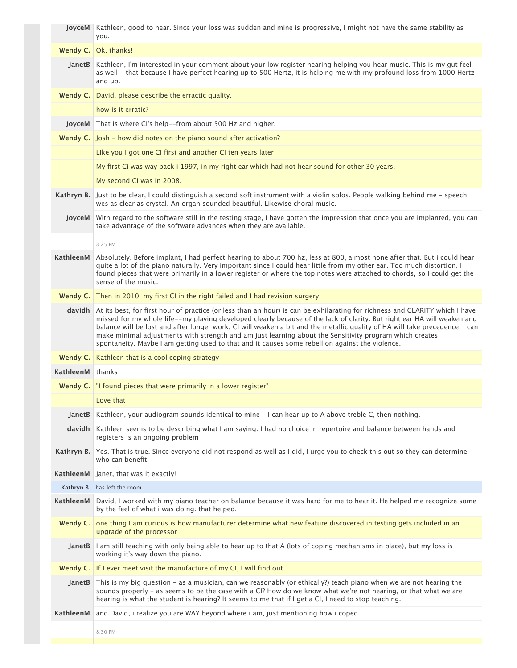|                  | JoyceM Kathleen, good to hear. Since your loss was sudden and mine is progressive, I might not have the same stability as<br>you.                                                                                                                                                                                                                                                                                                                                                                                                                                                                   |
|------------------|-----------------------------------------------------------------------------------------------------------------------------------------------------------------------------------------------------------------------------------------------------------------------------------------------------------------------------------------------------------------------------------------------------------------------------------------------------------------------------------------------------------------------------------------------------------------------------------------------------|
| Wendy C.         | Ok, thanks!                                                                                                                                                                                                                                                                                                                                                                                                                                                                                                                                                                                         |
| <b>JanetB</b>    | Kathleen, I'm interested in your comment about your low register hearing helping you hear music. This is my gut feel<br>as well - that because I have perfect hearing up to 500 Hertz, it is helping me with my profound loss from 1000 Hertz<br>and up.                                                                                                                                                                                                                                                                                                                                            |
| Wendy $C.$       | David, please describe the erractic quality.                                                                                                                                                                                                                                                                                                                                                                                                                                                                                                                                                        |
|                  | how is it erratic?                                                                                                                                                                                                                                                                                                                                                                                                                                                                                                                                                                                  |
| JoyceM           | That is where CI's help--from about 500 Hz and higher.                                                                                                                                                                                                                                                                                                                                                                                                                                                                                                                                              |
|                  | Wendy C. Josh - how did notes on the piano sound after activation?                                                                                                                                                                                                                                                                                                                                                                                                                                                                                                                                  |
|                  | Like you I got one CI first and another CI ten years later                                                                                                                                                                                                                                                                                                                                                                                                                                                                                                                                          |
|                  | My first Ci was way back i 1997, in my right ear which had not hear sound for other 30 years.                                                                                                                                                                                                                                                                                                                                                                                                                                                                                                       |
|                  | My second CI was in 2008.                                                                                                                                                                                                                                                                                                                                                                                                                                                                                                                                                                           |
| Kathryn B.       | Just to be clear, I could distinguish a second soft instrument with a violin solos. People walking behind me - speech<br>wes as clear as crystal. An organ sounded beautiful. Likewise choral music.                                                                                                                                                                                                                                                                                                                                                                                                |
| JoyceM           | With regard to the software still in the testing stage, I have gotten the impression that once you are implanted, you can<br>take advantage of the software advances when they are available.                                                                                                                                                                                                                                                                                                                                                                                                       |
|                  | 8:25 PM                                                                                                                                                                                                                                                                                                                                                                                                                                                                                                                                                                                             |
| KathleenM        | Absolutely. Before implant, I had perfect hearing to about 700 hz, less at 800, almost none after that. But i could hear<br>quite a lot of the piano naturally. Very important since I could hear little from my other ear. Too much distortion. I<br>found pieces that were primarily in a lower register or where the top notes were attached to chords, so I could get the<br>sense of the music.                                                                                                                                                                                                |
|                  | <b>Wendy C.</b> Then in 2010, my first CI in the right failed and I had revision surgery                                                                                                                                                                                                                                                                                                                                                                                                                                                                                                            |
| davidh           | At its best, for first hour of practice (or less than an hour) is can be exhilarating for richness and CLARITY which I have<br>missed for my whole life--my playing developed clearly because of the lack of clarity. But right ear HA will weaken and<br>balance will be lost and after longer work, CI will weaken a bit and the metallic quality of HA will take precedence. I can<br>make minimal adjustments with strength and am just learning about the Sensitivity program which creates<br>spontaneity. Maybe I am getting used to that and it causes some rebellion against the violence. |
| Wendy C.         | Kathleen that is a cool coping strategy                                                                                                                                                                                                                                                                                                                                                                                                                                                                                                                                                             |
| KathleenM thanks |                                                                                                                                                                                                                                                                                                                                                                                                                                                                                                                                                                                                     |
|                  | <b>Wendy C.</b> The found pieces that were primarily in a lower register"                                                                                                                                                                                                                                                                                                                                                                                                                                                                                                                           |
|                  | Love that                                                                                                                                                                                                                                                                                                                                                                                                                                                                                                                                                                                           |
| JanetB           | Kathleen, your audiogram sounds identical to mine – I can hear up to A above treble C, then nothing.                                                                                                                                                                                                                                                                                                                                                                                                                                                                                                |
| davidh           | Kathleen seems to be describing what I am saying. I had no choice in repertoire and balance between hands and<br>registers is an ongoing problem                                                                                                                                                                                                                                                                                                                                                                                                                                                    |
| Kathryn B.       | Yes. That is true. Since everyone did not respond as well as I did, I urge you to check this out so they can determine<br>who can benefit.                                                                                                                                                                                                                                                                                                                                                                                                                                                          |
| KathleenM        | Janet, that was it exactly!                                                                                                                                                                                                                                                                                                                                                                                                                                                                                                                                                                         |
|                  | Kathryn B. has left the room                                                                                                                                                                                                                                                                                                                                                                                                                                                                                                                                                                        |
| KathleenM        | David, I worked with my piano teacher on balance because it was hard for me to hear it. He helped me recognize some<br>by the feel of what i was doing. that helped.                                                                                                                                                                                                                                                                                                                                                                                                                                |
| Wendy C.         | one thing I am curious is how manufacturer determine what new feature discovered in testing gets included in an<br>upgrade of the processor                                                                                                                                                                                                                                                                                                                                                                                                                                                         |
| <b>JanetB</b>    | I am still teaching with only being able to hear up to that A (lots of coping mechanisms in place), but my loss is<br>working it's way down the piano.                                                                                                                                                                                                                                                                                                                                                                                                                                              |
|                  | <b>Wendy C.</b> If I ever meet visit the manufacture of my CI, I will find out                                                                                                                                                                                                                                                                                                                                                                                                                                                                                                                      |
| <b>JanetB</b>    | This is my big question - as a musician, can we reasonably (or ethically?) teach piano when we are not hearing the<br>sounds properly - as seems to be the case with a CI? How do we know what we're not hearing, or that what we are<br>hearing is what the student is hearing? It seems to me that if I get a CI, I need to stop teaching.                                                                                                                                                                                                                                                        |
| KathleenM        | and David, i realize you are WAY beyond where i am, just mentioning how i coped.                                                                                                                                                                                                                                                                                                                                                                                                                                                                                                                    |
|                  | 8:30 PM                                                                                                                                                                                                                                                                                                                                                                                                                                                                                                                                                                                             |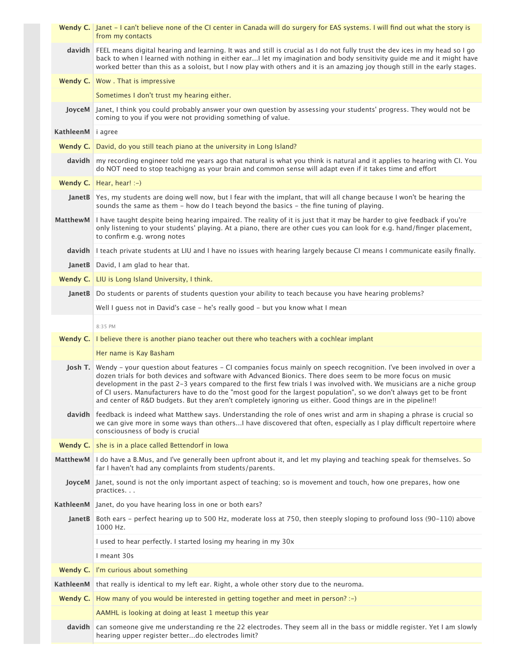|                   | Wendy C. Janet – I can't believe none of the CI center in Canada will do surgery for EAS systems. I will find out what the story is<br>from my contacts                                                                                                                                                                                                                                                                                                                                                                                                                                              |
|-------------------|------------------------------------------------------------------------------------------------------------------------------------------------------------------------------------------------------------------------------------------------------------------------------------------------------------------------------------------------------------------------------------------------------------------------------------------------------------------------------------------------------------------------------------------------------------------------------------------------------|
|                   | davidh FEEL means digital hearing and learning. It was and still is crucial as I do not fully trust the dev ices in my head so I go<br>back to when I learned with nothing in either earI let my imagination and body sensitivity quide me and it might have<br>worked better than this as a soloist, but I now play with others and it is an amazing joy though still in the early stages.                                                                                                                                                                                                          |
|                   | <b>Wendy C.</b> Wow . That is impressive                                                                                                                                                                                                                                                                                                                                                                                                                                                                                                                                                             |
|                   | Sometimes I don't trust my hearing either.                                                                                                                                                                                                                                                                                                                                                                                                                                                                                                                                                           |
|                   | JoyceM and Link you could probably answer your own question by assessing your students' progress. They would not be<br>coming to you if you were not providing something of value.                                                                                                                                                                                                                                                                                                                                                                                                                   |
| KathleenM i agree |                                                                                                                                                                                                                                                                                                                                                                                                                                                                                                                                                                                                      |
|                   | Wendy C.   David, do you still teach piano at the university in Long Island?                                                                                                                                                                                                                                                                                                                                                                                                                                                                                                                         |
|                   | davidh my recording engineer told me years ago that natural is what you think is natural and it applies to hearing with CI. You<br>do NOT need to stop teachigng as your brain and common sense will adapt even if it takes time and effort                                                                                                                                                                                                                                                                                                                                                          |
|                   | Wendy C.   Hear, hear! $:-$ )                                                                                                                                                                                                                                                                                                                                                                                                                                                                                                                                                                        |
|                   | JanetB Yes, my students are doing well now, but I fear with the implant, that will all change because I won't be hearing the<br>sounds the same as them - how do I teach beyond the basics - the fine tuning of playing.                                                                                                                                                                                                                                                                                                                                                                             |
|                   | MatthewM I have taught despite being hearing impaired. The reality of it is just that it may be harder to give feedback if you're<br>only listening to your students' playing. At a piano, there are other cues you can look for e.g. hand/finger placement,<br>to confirm e.g. wrong notes                                                                                                                                                                                                                                                                                                          |
|                   | davidh I teach private students at LIU and I have no issues with hearing largely because CI means I communicate easily finally.                                                                                                                                                                                                                                                                                                                                                                                                                                                                      |
|                   | JanetB David, I am glad to hear that.                                                                                                                                                                                                                                                                                                                                                                                                                                                                                                                                                                |
|                   | Wendy C.   LIU is Long Island University, I think.                                                                                                                                                                                                                                                                                                                                                                                                                                                                                                                                                   |
|                   | JanetB Do students or parents of students question your ability to teach because you have hearing problems?                                                                                                                                                                                                                                                                                                                                                                                                                                                                                          |
|                   | Well I guess not in David's case - he's really good - but you know what I mean                                                                                                                                                                                                                                                                                                                                                                                                                                                                                                                       |
|                   | 8:35 PM                                                                                                                                                                                                                                                                                                                                                                                                                                                                                                                                                                                              |
|                   | Wendy C. I believe there is another piano teacher out there who teachers with a cochlear implant                                                                                                                                                                                                                                                                                                                                                                                                                                                                                                     |
|                   | Her name is Kay Basham                                                                                                                                                                                                                                                                                                                                                                                                                                                                                                                                                                               |
| Josh T.           | Wendy - your question about features - CI companies focus mainly on speech recognition. I've been involved in over a<br>dozen trials for both devices and software with Advanced Bionics. There does seem to be more focus on music<br>development in the past 2-3 years compared to the first few trials I was involved with. We musicians are a niche group<br>of CI users. Manufacturers have to do the "most good for the largest population", so we don't always get to be front<br>and center of R&D budgets. But they aren't completely ignoring us either. Good things are in the pipeline!! |
|                   |                                                                                                                                                                                                                                                                                                                                                                                                                                                                                                                                                                                                      |
|                   | davidh feedback is indeed what Matthew says. Understanding the role of ones wrist and arm in shaping a phrase is crucial so<br>we can give more in some ways than othersI have discovered that often, especially as I play difficult repertoire where<br>consciousness of body is crucial                                                                                                                                                                                                                                                                                                            |
|                   | Wendy C. she is in a place called Bettendorf in Iowa                                                                                                                                                                                                                                                                                                                                                                                                                                                                                                                                                 |
|                   | MatthewM   I do have a B.Mus, and I've generally been upfront about it, and let my playing and teaching speak for themselves. So<br>far I haven't had any complaints from students/parents.                                                                                                                                                                                                                                                                                                                                                                                                          |
| JoyceM            | Janet, sound is not the only important aspect of teaching; so is movement and touch, how one prepares, how one<br>practices                                                                                                                                                                                                                                                                                                                                                                                                                                                                          |
|                   | KathleenM Janet, do you have hearing loss in one or both ears?                                                                                                                                                                                                                                                                                                                                                                                                                                                                                                                                       |
|                   | JanetB Both ears - perfect hearing up to 500 Hz, moderate loss at 750, then steeply sloping to profound loss (90-110) above<br>1000 Hz.                                                                                                                                                                                                                                                                                                                                                                                                                                                              |
|                   | I used to hear perfectly. I started losing my hearing in my 30x                                                                                                                                                                                                                                                                                                                                                                                                                                                                                                                                      |
|                   | I meant 30s                                                                                                                                                                                                                                                                                                                                                                                                                                                                                                                                                                                          |
|                   | Wendy C.   I'm curious about something                                                                                                                                                                                                                                                                                                                                                                                                                                                                                                                                                               |
| KathleenM         | that really is identical to my left ear. Right, a whole other story due to the neuroma.                                                                                                                                                                                                                                                                                                                                                                                                                                                                                                              |
| Wendy $C.$        | How many of you would be interested in getting together and meet in person? :-)                                                                                                                                                                                                                                                                                                                                                                                                                                                                                                                      |
|                   | AAMHL is looking at doing at least 1 meetup this year                                                                                                                                                                                                                                                                                                                                                                                                                                                                                                                                                |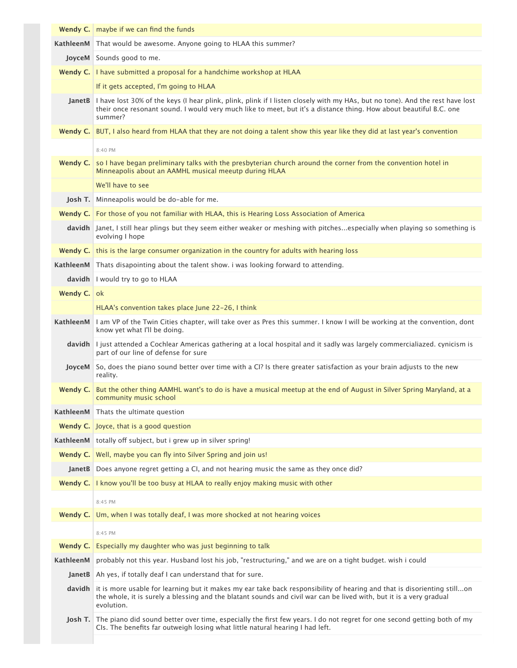|               | Wendy C.   maybe if we can find the funds                                                                                                                                                                                                                               |
|---------------|-------------------------------------------------------------------------------------------------------------------------------------------------------------------------------------------------------------------------------------------------------------------------|
| KathleenM     | That would be awesome. Anyone going to HLAA this summer?                                                                                                                                                                                                                |
|               | JoyceM Sounds good to me.                                                                                                                                                                                                                                               |
|               | Wendy C.   I have submitted a proposal for a handchime workshop at HLAA                                                                                                                                                                                                 |
|               | If it gets accepted, I'm going to HLAA                                                                                                                                                                                                                                  |
|               | JanetB   I have lost 30% of the keys (I hear plink, plink, plink if I listen closely with my HAs, but no tone). And the rest have lost<br>their once resonant sound. I would very much like to meet, but it's a distance thing. How about beautiful B.C. one<br>summer? |
| Wendy C.      | BUT, I also heard from HLAA that they are not doing a talent show this year like they did at last year's convention                                                                                                                                                     |
|               | 8:40 PM                                                                                                                                                                                                                                                                 |
| Wendy C.      | so I have began preliminary talks with the presbyterian church around the corner from the convention hotel in<br>Minneapolis about an AAMHL musical meeutp during HLAA                                                                                                  |
|               | We'll have to see                                                                                                                                                                                                                                                       |
| Josh T.       | Minneapolis would be do-able for me.                                                                                                                                                                                                                                    |
|               | Wendy C. For those of you not familiar with HLAA, this is Hearing Loss Association of America                                                                                                                                                                           |
|               | davidh Janet, I still hear plings but they seem either weaker or meshing with pitchesespecially when playing so something is<br>evolving I hope                                                                                                                         |
| Wendy $C.$    | this is the large consumer organization in the country for adults with hearing loss                                                                                                                                                                                     |
| KathleenM     | Thats disapointing about the talent show. I was looking forward to attending.                                                                                                                                                                                           |
|               | davidh I would try to go to HLAA                                                                                                                                                                                                                                        |
| Wendy C.      | 0k                                                                                                                                                                                                                                                                      |
|               | HLAA's convention takes place June 22-26, I think                                                                                                                                                                                                                       |
| KathleenM     | I am VP of the Twin Cities chapter, will take over as Pres this summer. I know I will be working at the convention, dont<br>know yet what I'll be doing.                                                                                                                |
|               | davidh   I just attended a Cochlear Americas gathering at a local hospital and it sadly was largely commercialiazed. cynicism is<br>part of our line of defense for sure                                                                                                |
| <b>JoyceM</b> | So, does the piano sound better over time with a CI? Is there greater satisfaction as your brain adjusts to the new<br>reality.                                                                                                                                         |
| Wendy C.      | But the other thing AAMHL want's to do is have a musical meetup at the end of August in Silver Spring Maryland, at a<br>community music school                                                                                                                          |
| KathleenM     | Thats the ultimate question                                                                                                                                                                                                                                             |
|               | <b>Wendy C.</b> Joyce, that is a good question                                                                                                                                                                                                                          |
|               | KathleenM totally off subject, but i grew up in silver spring!                                                                                                                                                                                                          |
| Wendy $C.$    | Well, maybe you can fly into Silver Spring and join us!                                                                                                                                                                                                                 |
|               | JanetB Does anyone regret getting a CI, and not hearing music the same as they once did?                                                                                                                                                                                |
| Wendy $C.$    | I know you'll be too busy at HLAA to really enjoy making music with other                                                                                                                                                                                               |
|               | 8:45 PM                                                                                                                                                                                                                                                                 |
| Wendy $C.$    | Um, when I was totally deaf, I was more shocked at not hearing voices                                                                                                                                                                                                   |
|               | 8:45 PM                                                                                                                                                                                                                                                                 |
| Wendy $C.$    | Especially my daughter who was just beginning to talk                                                                                                                                                                                                                   |
| KathleenM     | probably not this year. Husband lost his job, "restructuring," and we are on a tight budget. wish i could                                                                                                                                                               |
|               | JanetB   Ah yes, if totally deaf I can understand that for sure.                                                                                                                                                                                                        |
|               | davidh it is more usable for learning but it makes my ear take back responsibility of hearing and that is disorienting stillon<br>the whole, it is surely a blessing and the blatant sounds and civil war can be lived with, but it is a very gradual<br>evolution.     |
|               | Josh T. The piano did sound better over time, especially the first few years. I do not regret for one second getting both of my<br>CIs. The benefits far outweigh losing what little natural hearing I had left.                                                        |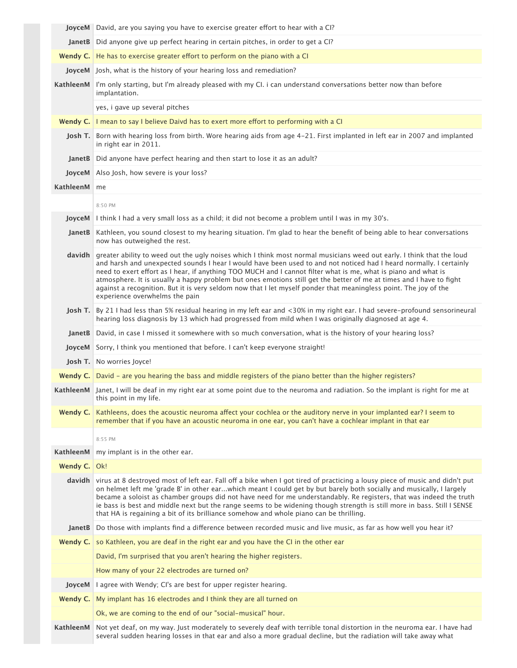|              | <b>JoyceM</b> David, are you saying you have to exercise greater effort to hear with a CI?                                                                                                                                                                                                                                                                                                                                                                                                                                                                                                                                                 |
|--------------|--------------------------------------------------------------------------------------------------------------------------------------------------------------------------------------------------------------------------------------------------------------------------------------------------------------------------------------------------------------------------------------------------------------------------------------------------------------------------------------------------------------------------------------------------------------------------------------------------------------------------------------------|
|              | JanetB   Did anyone give up perfect hearing in certain pitches, in order to get a CI?                                                                                                                                                                                                                                                                                                                                                                                                                                                                                                                                                      |
|              | <b>Wendy C.</b> He has to exercise greater effort to perform on the piano with a CI                                                                                                                                                                                                                                                                                                                                                                                                                                                                                                                                                        |
|              | JoyceM Josh, what is the history of your hearing loss and remediation?                                                                                                                                                                                                                                                                                                                                                                                                                                                                                                                                                                     |
|              | KathleenM   I'm only starting, but I'm already pleased with my CI. i can understand conversations better now than before<br>implantation.                                                                                                                                                                                                                                                                                                                                                                                                                                                                                                  |
|              | yes, i gave up several pitches                                                                                                                                                                                                                                                                                                                                                                                                                                                                                                                                                                                                             |
|              | Wendy C.   I mean to say I believe Daivd has to exert more effort to performing with a CI                                                                                                                                                                                                                                                                                                                                                                                                                                                                                                                                                  |
|              | Josh T. Born with hearing loss from birth. Wore hearing aids from age 4-21. First implanted in left ear in 2007 and implanted<br>in right ear in 2011.                                                                                                                                                                                                                                                                                                                                                                                                                                                                                     |
|              | JanetB   Did anyone have perfect hearing and then start to lose it as an adult?                                                                                                                                                                                                                                                                                                                                                                                                                                                                                                                                                            |
|              | JoyceM Also Josh, how severe is your loss?                                                                                                                                                                                                                                                                                                                                                                                                                                                                                                                                                                                                 |
| KathleenM me |                                                                                                                                                                                                                                                                                                                                                                                                                                                                                                                                                                                                                                            |
|              | 8:50 PM                                                                                                                                                                                                                                                                                                                                                                                                                                                                                                                                                                                                                                    |
|              | <b>JoyceM</b> I think I had a very small loss as a child; it did not become a problem until I was in my 30's.                                                                                                                                                                                                                                                                                                                                                                                                                                                                                                                              |
|              | JanetB Kathleen, you sound closest to my hearing situation. I'm glad to hear the benefit of being able to hear conversations<br>now has outweighed the rest.                                                                                                                                                                                                                                                                                                                                                                                                                                                                               |
| davidh       | greater ability to weed out the ugly noises which I think most normal musicians weed out early. I think that the loud<br>and harsh and unexpected sounds I hear I would have been used to and not noticed had I heard normally. I certainly<br>need to exert effort as I hear, if anything TOO MUCH and I cannot filter what is me, what is piano and what is<br>atmosphere. It is usually a happy problem but ones emotions still get the better of me at times and I have to fight<br>against a recognition. But it is very seldom now that I let myself ponder that meaningless point. The joy of the<br>experience overwhelms the pain |
| Josh T.      | By 21 I had less than 5% residual hearing in my left ear and <30% in my right ear. I had severe-profound sensorineural<br>hearing loss diagnosis by 13 which had progressed from mild when I was originally diagnosed at age 4.                                                                                                                                                                                                                                                                                                                                                                                                            |
|              | JanetB David, in case I missed it somewhere with so much conversation, what is the history of your hearing loss?                                                                                                                                                                                                                                                                                                                                                                                                                                                                                                                           |
|              | JoyceM Sorry, I think you mentioned that before. I can't keep everyone straight!                                                                                                                                                                                                                                                                                                                                                                                                                                                                                                                                                           |
|              | Josh T. No worries Joyce!                                                                                                                                                                                                                                                                                                                                                                                                                                                                                                                                                                                                                  |
|              | Wendy C.   David - are you hearing the bass and middle registers of the piano better than the higher registers?                                                                                                                                                                                                                                                                                                                                                                                                                                                                                                                            |
|              | KathleenM Janet, I will be deaf in my right ear at some point due to the neuroma and radiation. So the implant is right for me at<br>this point in my life.                                                                                                                                                                                                                                                                                                                                                                                                                                                                                |
| Wendy C.     | Kathleens, does the acoustic neuroma affect your cochlea or the auditory nerve in your implanted ear? I seem to<br>remember that if you have an acoustic neuroma in one ear, you can't have a cochlear implant in that ear                                                                                                                                                                                                                                                                                                                                                                                                                 |
|              | 8:55 PM                                                                                                                                                                                                                                                                                                                                                                                                                                                                                                                                                                                                                                    |
| KathleenM    | my implant is in the other ear.                                                                                                                                                                                                                                                                                                                                                                                                                                                                                                                                                                                                            |
| Wendy C.     | Ok!                                                                                                                                                                                                                                                                                                                                                                                                                                                                                                                                                                                                                                        |
|              | davidh virus at 8 destroyed most of left ear. Fall off a bike when I got tired of practicing a lousy piece of music and didn't put<br>on helmet left me 'grade B' in other earwhich meant I could get by but barely both socially and musically, I largely<br>became a soloist as chamber groups did not have need for me understandably. Re registers, that was indeed the truth<br>ie bass is best and middle next but the range seems to be widening though strength is still more in bass. Still I SENSE<br>that HA is regaining a bit of its brilliance somehow and whole piano can be thrilling.                                     |
| JanetB       | Do those with implants find a difference between recorded music and live music, as far as how well you hear it?                                                                                                                                                                                                                                                                                                                                                                                                                                                                                                                            |
| Wendy C.     | so Kathleen, you are deaf in the right ear and you have the CI in the other ear                                                                                                                                                                                                                                                                                                                                                                                                                                                                                                                                                            |
|              | David, I'm surprised that you aren't hearing the higher registers.                                                                                                                                                                                                                                                                                                                                                                                                                                                                                                                                                                         |
|              | How many of your 22 electrodes are turned on?                                                                                                                                                                                                                                                                                                                                                                                                                                                                                                                                                                                              |
| JoyceM       | I agree with Wendy; CI's are best for upper register hearing.                                                                                                                                                                                                                                                                                                                                                                                                                                                                                                                                                                              |
| Wendy $C.$   | My implant has 16 electrodes and I think they are all turned on                                                                                                                                                                                                                                                                                                                                                                                                                                                                                                                                                                            |
|              | Ok, we are coming to the end of our "social-musical" hour.                                                                                                                                                                                                                                                                                                                                                                                                                                                                                                                                                                                 |
| KathleenM    | Not yet deaf, on my way. Just moderately to severely deaf with terrible tonal distortion in the neuroma ear. I have had<br>several sudden hearing losses in that ear and also a more gradual decline, but the radiation will take away what                                                                                                                                                                                                                                                                                                                                                                                                |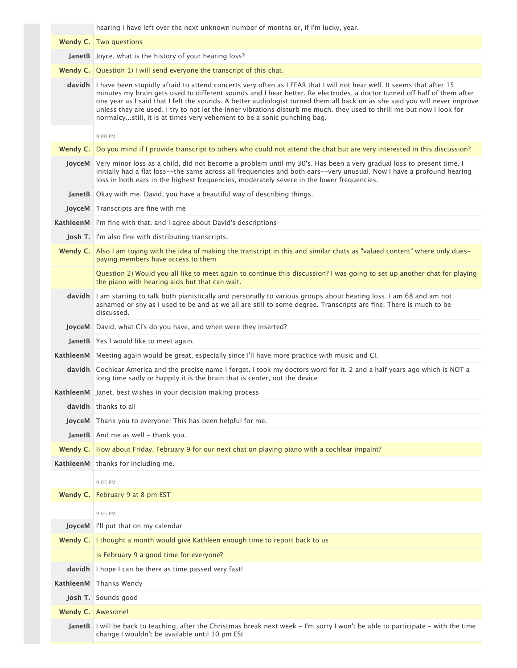|                  | hearing i have left over the next unknown number of months or, if I'm lucky, year.                                                                                                                                                                                                                                                                                                                                                                                                                                                                                                         |
|------------------|--------------------------------------------------------------------------------------------------------------------------------------------------------------------------------------------------------------------------------------------------------------------------------------------------------------------------------------------------------------------------------------------------------------------------------------------------------------------------------------------------------------------------------------------------------------------------------------------|
| Wendy $C.$       | Two questions                                                                                                                                                                                                                                                                                                                                                                                                                                                                                                                                                                              |
|                  | JanetB Joyce, what is the history of your hearing loss?                                                                                                                                                                                                                                                                                                                                                                                                                                                                                                                                    |
|                  | <b>Wendy C.</b> Question 1) I will send everyone the transcript of this chat.                                                                                                                                                                                                                                                                                                                                                                                                                                                                                                              |
|                  | davidh I have been stupidly afraid to attend concerts very often as I FEAR that I will not hear well. It seems that after 15<br>minutes my brain gets used to different sounds and I hear better. Re electrodes, a doctor turned off half of them after<br>one year as I said that I felt the sounds. A better audiologist turned them all back on as she said you will never improve<br>unless they are used. I try to not let the inner vibrations disturb me much. they used to thrill me but now I look for<br>normalcystill, it is at times very vehement to be a sonic punching bag. |
|                  | 9:00 PM                                                                                                                                                                                                                                                                                                                                                                                                                                                                                                                                                                                    |
| Wendy $C.$       | Do you mind if I provide transcript to others who could not attend the chat but are very interested in this discussion?                                                                                                                                                                                                                                                                                                                                                                                                                                                                    |
| JoyceM           | Very minor loss as a child, did not become a problem until my 30's. Has been a very gradual loss to present time. I<br>initially had a flat loss--the same across all frequencies and both ears--very unusual. Now I have a profound hearing<br>loss in both ears in the highest frequencies, moderately severe in the lower frequencies.                                                                                                                                                                                                                                                  |
| <b>JanetB</b>    | Okay with me. David, you have a beautiful way of describing things.                                                                                                                                                                                                                                                                                                                                                                                                                                                                                                                        |
| JoyceM           | Transcripts are fine with me                                                                                                                                                                                                                                                                                                                                                                                                                                                                                                                                                               |
|                  | KathleenM   I'm fine with that. and i agree about David's descriptions                                                                                                                                                                                                                                                                                                                                                                                                                                                                                                                     |
|                  | <b>Josh T.</b> I'm also fine with distributing transcripts.                                                                                                                                                                                                                                                                                                                                                                                                                                                                                                                                |
|                  | Wendy C. Also I am toying with the idea of making the transcript in this and similar chats as "valued content" where only dues-<br>paying members have access to them                                                                                                                                                                                                                                                                                                                                                                                                                      |
|                  | Question 2) Would you all like to meet again to continue this discussion? I was going to set up another chat for playing<br>the piano with hearing aids but that can wait.                                                                                                                                                                                                                                                                                                                                                                                                                 |
| davidh           | I am starting to talk both pianistically and personally to various groups about hearing loss. I am 68 and am not<br>ashamed or shy as I used to be and as we all are still to some degree. Transcripts are fine. There is much to be<br>discussed.                                                                                                                                                                                                                                                                                                                                         |
| JoyceM           | David, what CI's do you have, and when were they inserted?                                                                                                                                                                                                                                                                                                                                                                                                                                                                                                                                 |
|                  | JanetB Yes I would like to meet again.                                                                                                                                                                                                                                                                                                                                                                                                                                                                                                                                                     |
| KathleenM        | Meeting again would be great, especially since I'll have more practice with music and CI.                                                                                                                                                                                                                                                                                                                                                                                                                                                                                                  |
| davidh           | Cochlear America and the precise name I forget. I took my doctors word for it. 2 and a half years ago which is NOT a<br>long time sadly or happily it is the brain that is center, not the device                                                                                                                                                                                                                                                                                                                                                                                          |
|                  | KathleenM Janet, best wishes in your decision making process                                                                                                                                                                                                                                                                                                                                                                                                                                                                                                                               |
| davidh           | thanks to all                                                                                                                                                                                                                                                                                                                                                                                                                                                                                                                                                                              |
| JoyceM           | Thank you to everyone! This has been helpful for me.                                                                                                                                                                                                                                                                                                                                                                                                                                                                                                                                       |
|                  | <b>JanetB</b> And me as well - thank you.                                                                                                                                                                                                                                                                                                                                                                                                                                                                                                                                                  |
| Wendy C. $\vert$ | How about Friday, February 9 for our next chat on playing piano with a cochlear impalnt?                                                                                                                                                                                                                                                                                                                                                                                                                                                                                                   |
| KathleenM        | thanks for including me.                                                                                                                                                                                                                                                                                                                                                                                                                                                                                                                                                                   |
|                  | 9:05 PM                                                                                                                                                                                                                                                                                                                                                                                                                                                                                                                                                                                    |
|                  | Wendy C. February 9 at 8 pm EST                                                                                                                                                                                                                                                                                                                                                                                                                                                                                                                                                            |
|                  | 9:05 PM                                                                                                                                                                                                                                                                                                                                                                                                                                                                                                                                                                                    |
| JoyceM           | I'll put that on my calendar                                                                                                                                                                                                                                                                                                                                                                                                                                                                                                                                                               |
| Wendy $C.$       | I thought a month would give Kathleen enough time to report back to us                                                                                                                                                                                                                                                                                                                                                                                                                                                                                                                     |
|                  | is February 9 a good time for everyone?                                                                                                                                                                                                                                                                                                                                                                                                                                                                                                                                                    |
| davidh           | I hope I can be there as time passed very fast!                                                                                                                                                                                                                                                                                                                                                                                                                                                                                                                                            |
| KathleenM        | Thanks Wendy                                                                                                                                                                                                                                                                                                                                                                                                                                                                                                                                                                               |
| Josh T.          | Sounds good                                                                                                                                                                                                                                                                                                                                                                                                                                                                                                                                                                                |
|                  | Wendy C. Awesome!                                                                                                                                                                                                                                                                                                                                                                                                                                                                                                                                                                          |
|                  | JanetB   I will be back to teaching, after the Christmas break next week - I'm sorry I won't be able to participate - with the time<br>change I wouldn't be available until 10 pm ESt                                                                                                                                                                                                                                                                                                                                                                                                      |